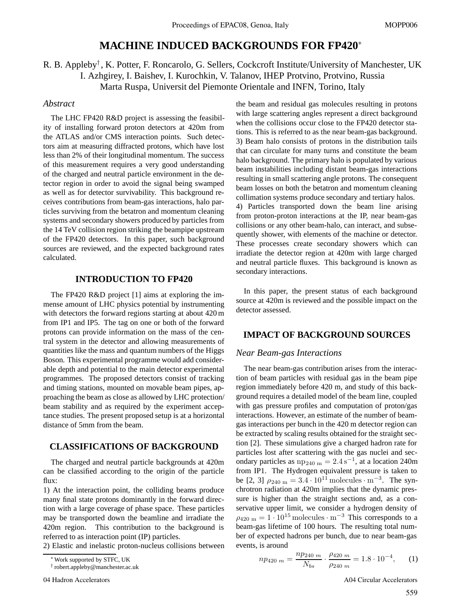# **MACHINE INDUCED BACKGROUNDS FOR FP420**<sup>∗</sup>

R. B. Appleby† , K. Potter, F. Roncarolo, G. Sellers, Cockcroft Institute/University of Manchester, UK I. Azhgirey, I. Baishev, I. Kurochkin, V. Talanov, IHEP Protvino, Protvino, Russia Marta Ruspa, Universit del Piemonte Orientale and INFN, Torino, Italy

### *Abstract*

The LHC FP420 R&D project is assessing the feasibility of installing forward proton detectors at 420m from the ATLAS and/or CMS interaction points. Such detectors aim at measuring diffracted protons, which have lost less than 2% of their longitudinal momentum. The success of this measurement requires a very good understanding of the charged and neutral particle environment in the detector region in order to avoid the signal being swamped as well as for detector survivability. This background receives contributions from beam-gas interactions, halo particles surviving from the betatron and momentum cleaning systems and secondary showers produced by particles from the 14 TeV collision region striking the beampipe upstream of the FP420 detectors. In this paper, such background sources are reviewed, and the expected background rates calculated.

# **INTRODUCTION TO FP420**

The FP420 R&D project [1] aims at exploring the immense amount of LHC physics potential by instrumenting with detectors the forward regions starting at about 420 m from IP1 and IP5. The tag on one or both of the forward protons can provide information on the mass of the central system in the detector and allowing measurements of quantities like the mass and quantum numbers of the Higgs Boson. This experimental programme would add considerable depth and potential to the main detector experimental programmes. The proposed detectors consist of tracking and timing stations, mounted on movable beam pipes, approaching the beam as close as allowed by LHC protection/ beam stability and as required by the experiment acceptance studies. The present proposed setup is at a horizontal distance of 5mm from the beam.

### **CLASSIFICATIONS OF BACKGROUND**

The charged and neutral particle backgrounds at 420m can be classified according to the origin of the particle flux:

1) At the interaction point, the colliding beams produce many final state protons dominantly in the forward direction with a large coverage of phase space. These particles may be transported down the beamline and irradiate the 420m region. This contribution to the background is referred to as interaction point (IP) particles.

2) Elastic and inelastic proton-nucleus collisions between

the beam and residual gas molecules resulting in protons with large scattering angles represent a direct background when the collisions occur close to the FP420 detector stations. This is referred to as the near beam-gas background. 3) Beam halo consists of protons in the distribution tails that can circulate for many turns and constitute the beam halo background. The primary halo is populated by various beam instabilities including distant beam-gas interactions resulting in small scattering angle protons. The consequent beam losses on both the betatron and momentum cleaning collimation systems produce secondary and tertiary halos. 4) Particles transported down the beam line arising from proton-proton interactions at the IP, near beam-gas collisions or any other beam-halo, can interact, and subsequently shower, with elements of the machine or detector. These processes create secondary showers which can irradiate the detector region at 420m with large charged and neutral particle fluxes. This background is known as secondary interactions.

In this paper, the present status of each background source at 420m is reviewed and the possible impact on the detector assessed.

### **IMPACT OF BACKGROUND SOURCES**

#### *Near Beam-gas Interactions*

The near beam-gas contribution arises from the interaction of beam particles with residual gas in the beam pipe region immediately before 420 m, and study of this background requires a detailed model of the beam line, coupled with gas pressure profiles and computation of proton/gas interactions. However, an estimate of the number of beamgas interactions per bunch in the 420 m detector region can be extracted by scaling results obtained for the straight section [2]. These simulations give a charged hadron rate for particles lost after scattering with the gas nuclei and secondary particles as  $np_{240 \text{ m}} = 2.4 \text{ s}^{-1}$ , at a location 240m from IP1. The Hydrogen equivalent pressure is taken to be [2, 3]  $\rho_{240 \text{ m}} = 3.4 \cdot 10^{11} \text{ molecules} \cdot \text{m}^{-3}$ . The synchrotron radiation at 420m implies that the dynamic pressure is higher than the straight sections and, as a conservative upper limit, we consider a hydrogen density of  $\rho_{420 \text{ m}} = 1 \cdot 10^{15} \text{ molecules} \cdot \text{m}^{-3}$  This corresponds to a beam-gas lifetime of 100 hours. The resulting total number of expected hadrons per bunch, due to near beam-gas events, is around

$$
np_{420\ m} = \frac{np_{240\ m}}{N_{bs}} \cdot \frac{p_{420\ m}}{p_{240\ m}} = 1.8 \cdot 10^{-4},\tag{1}
$$

04 Hadron Accelerators A04 Circular Accelerators

<sup>∗</sup>Work supported by STFC, UK

<sup>†</sup> robert.appleby@manchester.ac.uk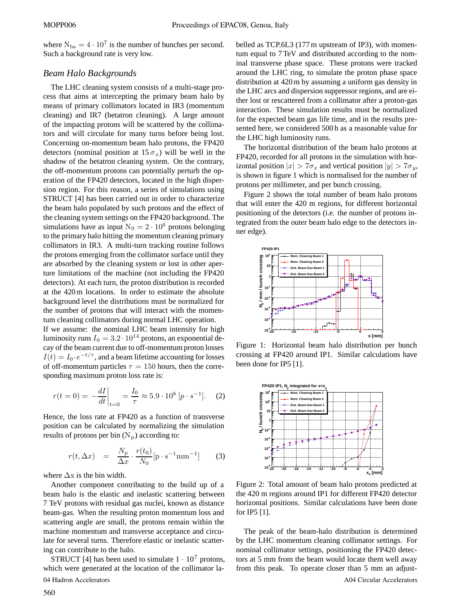where  $N_{\text{bs}} = 4 \cdot 10^7$  is the number of bunches per second. Such a background rate is very low.

# *Beam Halo Backgrounds*

The LHC cleaning system consists of a multi-stage process that aims at intercepting the primary beam halo by means of primary collimators located in IR3 (momentum cleaning) and IR7 (betatron cleaning). A large amount of the impacting protons will be scattered by the collimators and will circulate for many turns before being lost. Concerning on-momentum beam halo protons, the FP420 detectors (nominal position at  $15\sigma_x$ ) will be well in the shadow of the betatron cleaning system. On the contrary, the off-momentum protons can potentially perturb the operation of the FP420 detectors, located in the high dispersion region. For this reason, a series of simulations using STRUCT [4] has been carried out in order to characterize the beam halo populated by such protons and the effect of the cleaning system settings on the FP420 background. The simulations have as input  $N_0 = 2 \cdot 10^6$  protons belonging to the primary halo hitting the momentum cleaning primary collimators in IR3. A multi-turn tracking routine follows the protons emerging from the collimator surface until they are absorbed by the cleaning system or lost in other aperture limitations of the machine (not including the FP420 detectors). At each turn, the proton distribution is recorded at the 420 m locations. In order to estimate the absolute background level the distributions must be normalized for the number of protons that will interact with the momentum cleaning collimators during normal LHC operation.

If we assume: the nominal LHC beam intensity for high luminosity runs  $I_0 = 3.2 \cdot 10^{14}$  protons, an exponential decay of the beam current due to off-momentum proton losses  $I(t) = I_0 \cdot e^{-t/\tau}$ , and a beam lifetime accounting for losses of off-momentum particles  $\tau = 150$  hours, then the corresponding maximum proton loss rate is:

$$
r(t = 0) = -\frac{dI}{dt}\bigg|_{t=0} = \frac{I_0}{\tau} \approx 5.9 \cdot 10^8 \left[p \cdot s^{-1}\right].
$$
 (2)

Hence, the loss rate at FP420 as a function of transverse position can be calculated by normalizing the simulation results of protons per bin  $(N_p)$  according to:

$$
r(t, \Delta x) = \frac{N_p}{\Delta x} \cdot \frac{r(t_0)}{N_0} [\mathbf{p} \cdot \mathbf{s}^{-1} \mathbf{m} \mathbf{m}^{-1}] \tag{3}
$$

where  $\Delta x$  is the bin width.

Another component contributing to the build up of a beam halo is the elastic and inelastic scattering between 7 TeV protons with residual gas nuclei, known as distance beam-gas. When the resulting proton momentum loss and scattering angle are small, the protons remain within the machine momentum and transverse acceptance and circulate for several turns. Therefore elastic or inelastic scattering can contribute to the halo.

STRUCT [4] has been used to simulate  $1 \cdot 10^7$  protons, which were generated at the location of the collimator la-04 Hadron Accelerators

belled as TCP.6L3 (177 m upstream of IP3), with momentum equal to 7 TeV and distributed according to the nominal transverse phase space. These protons were tracked around the LHC ring, to simulate the proton phase space distribution at 420 m by assuming a uniform gas density in the LHC arcs and dispersion suppressor regions, and are either lost or rescattered from a collimator after a proton-gas interaction. These simulation results must be normalized for the expected beam gas life time, and in the results presented here, we considered 500 h as a reasonable value for the LHC high luminosity runs.

The horizontal distribution of the beam halo protons at FP420, recorded for all protons in the simulation with horizontal position  $|x| > 7\sigma_x$  and vertical position  $|y| > 7\sigma_y$ , is shown in figure 1 which is normalised for the number of protons per millimeter, and per bunch crossing.

Figure 2 shows the total number of beam halo protons that will enter the 420 m regions, for different horizontal positioning of the detectors (i.e. the number of protons integrated from the outer beam halo edge to the detectors inner edge).



Figure 1: Horizontal beam halo distribution per bunch crossing at FP420 around IP1. Similar calculations have been done for IP5 [1].



Figure 2: Total amount of beam halo protons predicted at the 420 m regions around IP1 for different FP420 detector horizontal positions. Similar calculations have been done for IP5 [1].

The peak of the beam-halo distribution is determined by the LHC momentum cleaning collimator settings. For nominal collimator settings, positioning the FP420 detectors at 5 mm from the beam would locate them well away from this peak. To operate closer than 5 mm an adjust